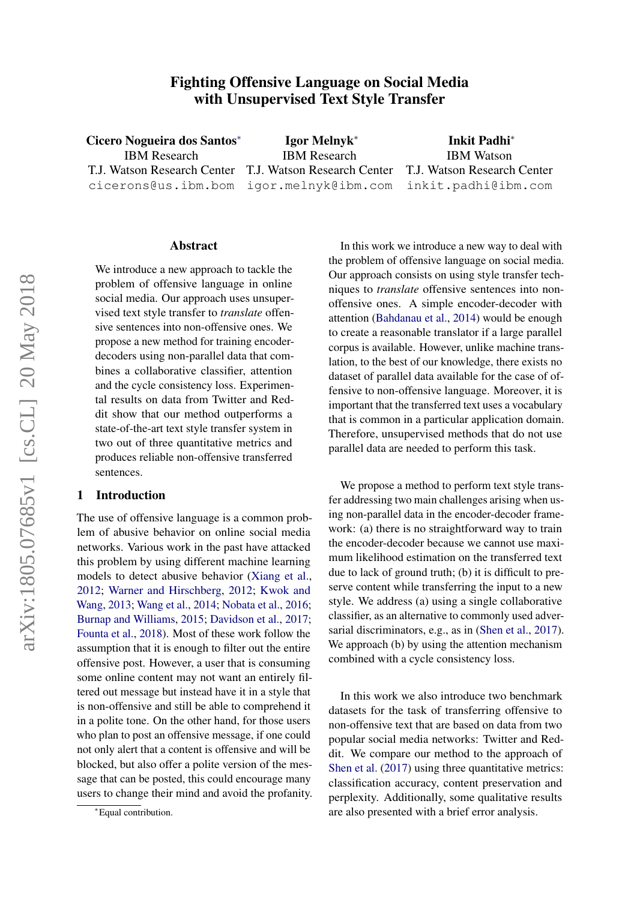# Fighting Offensive Language on Social Media with Unsupervised Text Style Transfer

Cicero Nogueira dos Santos<sup>∗</sup> IBM Research T.J. Watson Research Center cicerons@us.ibm.bom

Igor Melnyk<sup>∗</sup> IBM Research T.J. Watson Research Center igor.melnyk@ibm.com

Inkit Padhi<sup>∗</sup> IBM Watson T.J. Watson Research Center inkit.padhi@ibm.com

#### Abstract

We introduce a new approach to tackle the problem of offensive language in online social media. Our approach uses unsupervised text style transfer to *translate* offensive sentences into non-offensive ones. We propose a new method for training encoderdecoders using non-parallel data that combines a collaborative classifier, attention and the cycle consistency loss. Experimental results on data from Twitter and Reddit show that our method outperforms a state-of-the-art text style transfer system in two out of three quantitative metrics and produces reliable non-offensive transferred sentences.

# 1 Introduction

The use of offensive language is a common problem of abusive behavior on online social media networks. Various work in the past have attacked this problem by using different machine learning models to detect abusive behavior [\(Xiang et al.,](#page-5-0) [2012;](#page-5-0) [Warner and Hirschberg,](#page-5-1) [2012;](#page-5-1) [Kwok and](#page-5-2) [Wang,](#page-5-2) [2013;](#page-5-2) [Wang et al.,](#page-5-3) [2014;](#page-5-3) [Nobata et al.,](#page-5-4) [2016;](#page-5-4) [Burnap and Williams,](#page-5-5) [2015;](#page-5-5) [Davidson et al.,](#page-5-6) [2017;](#page-5-6) [Founta et al.,](#page-5-7) [2018\)](#page-5-7). Most of these work follow the assumption that it is enough to filter out the entire offensive post. However, a user that is consuming some online content may not want an entirely filtered out message but instead have it in a style that is non-offensive and still be able to comprehend it in a polite tone. On the other hand, for those users who plan to post an offensive message, if one could not only alert that a content is offensive and will be blocked, but also offer a polite version of the message that can be posted, this could encourage many users to change their mind and avoid the profanity.

In this work we introduce a new way to deal with the problem of offensive language on social media. Our approach consists on using style transfer techniques to *translate* offensive sentences into nonoffensive ones. A simple encoder-decoder with attention [\(Bahdanau et al.,](#page-5-8) [2014\)](#page-5-8) would be enough to create a reasonable translator if a large parallel corpus is available. However, unlike machine translation, to the best of our knowledge, there exists no dataset of parallel data available for the case of offensive to non-offensive language. Moreover, it is important that the transferred text uses a vocabulary that is common in a particular application domain. Therefore, unsupervised methods that do not use parallel data are needed to perform this task.

We propose a method to perform text style transfer addressing two main challenges arising when using non-parallel data in the encoder-decoder framework: (a) there is no straightforward way to train the encoder-decoder because we cannot use maximum likelihood estimation on the transferred text due to lack of ground truth; (b) it is difficult to preserve content while transferring the input to a new style. We address (a) using a single collaborative classifier, as an alternative to commonly used adversarial discriminators, e.g., as in [\(Shen et al.,](#page-5-9) [2017\)](#page-5-9). We approach (b) by using the attention mechanism combined with a cycle consistency loss.

In this work we also introduce two benchmark datasets for the task of transferring offensive to non-offensive text that are based on data from two popular social media networks: Twitter and Reddit. We compare our method to the approach of [Shen et al.](#page-5-9) [\(2017\)](#page-5-9) using three quantitative metrics: classification accuracy, content preservation and perplexity. Additionally, some qualitative results are also presented with a brief error analysis.

<sup>∗</sup>Equal contribution.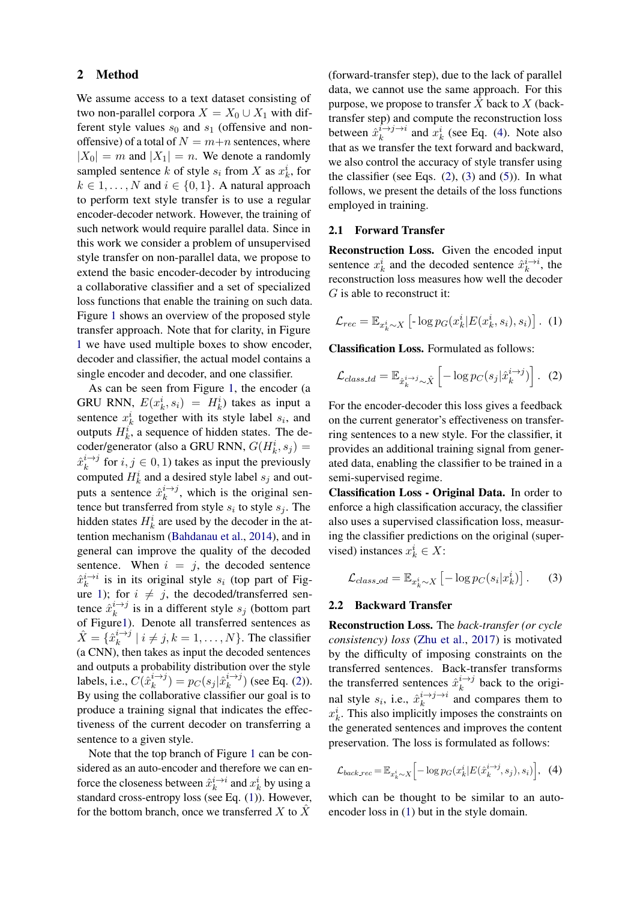## 2 Method

We assume access to a text dataset consisting of two non-parallel corpora  $X = X_0 \cup X_1$  with different style values  $s_0$  and  $s_1$  (offensive and nonoffensive) of a total of  $N = m+n$  sentences, where  $|X_0| = m$  and  $|X_1| = n$ . We denote a randomly sampled sentence k of style  $s_i$  from X as  $x_k^i$ , for  $k \in 1, \ldots, N$  and  $i \in \{0, 1\}$ . A natural approach to perform text style transfer is to use a regular encoder-decoder network. However, the training of such network would require parallel data. Since in this work we consider a problem of unsupervised style transfer on non-parallel data, we propose to extend the basic encoder-decoder by introducing a collaborative classifier and a set of specialized loss functions that enable the training on such data. Figure [1](#page-2-0) shows an overview of the proposed style transfer approach. Note that for clarity, in Figure [1](#page-2-0) we have used multiple boxes to show encoder, decoder and classifier, the actual model contains a single encoder and decoder, and one classifier.

As can be seen from Figure [1,](#page-2-0) the encoder (a GRU RNN,  $E(x_k^i, s_i) = H_k^i$  takes as input a sentence  $x_k^i$  together with its style label  $s_i$ , and outputs  $H_k^i$ , a sequence of hidden states. The decoder/generator (also a GRU RNN,  $G(H_k^i, s_j)$  =  $\hat{x}_k^{i\rightarrow j}$  $\sum_{k}^{i \to j}$  for  $i, j \in [0, 1)$  takes as input the previously computed  $H_k^i$  and a desired style label  $s_j$  and outputs a sentence  $\hat{x}_k^{i \rightarrow j}$  $\binom{n}{k}$ , which is the original sentence but transferred from style  $s_i$  to style  $s_j$ . The hidden states  $H_k^i$  are used by the decoder in the attention mechanism [\(Bahdanau et al.,](#page-5-8) [2014\)](#page-5-8), and in general can improve the quality of the decoded sentence. When  $i = j$ , the decoded sentence  $\hat{x}_k^{i \rightarrow i}$  is in its original style  $s_i$  (top part of Fig-ure [1\)](#page-2-0); for  $i \neq j$ , the decoded/transferred sentence  $\hat{x}_k^{i \rightarrow j}$  $\binom{i \rightarrow j}{k}$  is in a different style  $s_j$  (bottom part of Figur[e1\)](#page-2-0). Denote all transferred sentences as  $\hat{X} = \tilde{\{x}_k^{i \to j}$  $\binom{n}{k}$  |  $i \neq j, k = 1, \ldots, N$ }. The classifier (a CNN), then takes as input the decoded sentences and outputs a probability distribution over the style labels, i.e.,  $C(\hat{x}_k^{i \rightarrow j})$  $(k_i \rightarrow j) = p_C(s_j | \hat{x}_k^{i \rightarrow j})$  $\binom{n\rightarrow j}{k}$  (see Eq. [\(2\)](#page-1-0)). By using the collaborative classifier our goal is to produce a training signal that indicates the effectiveness of the current decoder on transferring a sentence to a given style.

Note that the top branch of Figure [1](#page-2-0) can be considered as an auto-encoder and therefore we can enforce the closeness between  $\hat{x}_k^{i \to i}$  and  $x_k^i$  by using a standard cross-entropy loss (see Eq. [\(1\)](#page-1-1)). However, for the bottom branch, once we transferred X to  $\hat{X}$ 

(forward-transfer step), due to the lack of parallel data, we cannot use the same approach. For this purpose, we propose to transfer  $\hat{X}$  back to  $X$  (backtransfer step) and compute the reconstruction loss between  $\hat{x}_k^{i \to j \to i}$  $\sum_{k}^{i \to j \to i}$  and  $x_k^i$  (see Eq. [\(4\)](#page-1-2). Note also that as we transfer the text forward and backward, we also control the accuracy of style transfer using the classifier (see Eqs.  $(2)$ ,  $(3)$  and  $(5)$ ). In what follows, we present the details of the loss functions employed in training.

### 2.1 Forward Transfer

Reconstruction Loss. Given the encoded input sentence  $x_k^i$  and the decoded sentence  $\hat{x}_k^{i \to i}$ , the reconstruction loss measures how well the decoder G is able to reconstruct it:

<span id="page-1-1"></span>
$$
\mathcal{L}_{rec} = \mathbb{E}_{x_k^i \sim X} \left[ -\log p_G(x_k^i | E(x_k^i, s_i), s_i) \right]. \tag{1}
$$

Classification Loss. Formulated as follows:

<span id="page-1-0"></span>
$$
\mathcal{L}_{class\_td} = \mathbb{E}_{\hat{x}_k^{i \to j} \sim \hat{X}} \left[ -\log p_C(s_j | \hat{x}_k^{i \to j}) \right]. \tag{2}
$$

For the encoder-decoder this loss gives a feedback on the current generator's effectiveness on transferring sentences to a new style. For the classifier, it provides an additional training signal from generated data, enabling the classifier to be trained in a semi-supervised regime.

Classification Loss - Original Data. In order to enforce a high classification accuracy, the classifier also uses a supervised classification loss, measuring the classifier predictions on the original (supervised) instances  $x_k^i \in X$ :

<span id="page-1-3"></span>
$$
\mathcal{L}_{class.od} = \mathbb{E}_{x_k^i \sim X} \left[ -\log p_C(s_i | x_k^i) \right]. \tag{3}
$$

#### 2.2 Backward Transfer

Reconstruction Loss. The *back-transfer (or cycle consistency) loss* [\(Zhu et al.,](#page-5-10) [2017\)](#page-5-10) is motivated by the difficulty of imposing constraints on the transferred sentences. Back-transfer transforms the transferred sentences  $\hat{x}_k^{i \rightarrow j}$  $\int_k^{i \to j}$  back to the original style  $s_i$ , i.e.,  $\hat{x}_k^{i \to j \to i}$  $\sum_{k=1}^{n}$  and compares them to  $x_k^i$ . This also implicitly imposes the constraints on the generated sentences and improves the content preservation. The loss is formulated as follows:

<span id="page-1-2"></span>
$$
\mathcal{L}_{back\_rec} = \mathbb{E}_{x_k^i \sim X} \Big[ -\log p_G(x_k^i | E(\hat{x}_k^{i \to j}, s_j), s_i) \Big], \tag{4}
$$

which can be thought to be similar to an autoencoder loss in [\(1\)](#page-1-1) but in the style domain.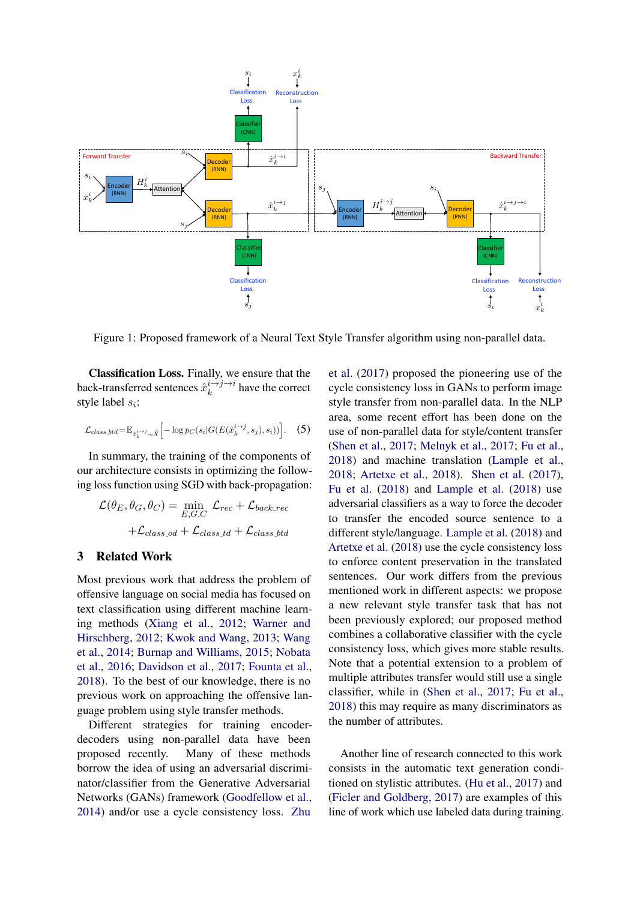

Figure 1: Proposed framework of a Neural Text Style Transfer algorithm using non-parallel data.

Classification Loss. Finally, we ensure that the back-transferred sentences  $\hat{x}_k^{i \to j \to i}$  $\int_{k}^{\infty}$  have the correct style label  $s_i$ :

$$
\mathcal{L}_{class,btd} = \mathbb{E}_{\hat{x}_k^{i \to j} \sim \hat{X}} \left[ -\log p_C(s_i | G(E(\hat{x}_k^{i \to j}, s_j), s_i)) \right].
$$
 (5)

In summary, the training of the components of our architecture consists in optimizing the following loss function using SGD with back-propagation:

$$
\mathcal{L}(\theta_E, \theta_G, \theta_C) = \min_{E, G, C} \mathcal{L}_{rec} + \mathcal{L}_{back\_rec}
$$

$$
+ \mathcal{L}_{class\_od} + \mathcal{L}_{class\_td} + \mathcal{L}_{class\_btd}
$$

# 3 Related Work

Most previous work that address the problem of offensive language on social media has focused on text classification using different machine learning methods [\(Xiang et al.,](#page-5-0) [2012;](#page-5-0) [Warner and](#page-5-1) [Hirschberg,](#page-5-1) [2012;](#page-5-1) [Kwok and Wang,](#page-5-2) [2013;](#page-5-2) [Wang](#page-5-3) [et al.,](#page-5-3) [2014;](#page-5-3) [Burnap and Williams,](#page-5-5) [2015;](#page-5-5) [Nobata](#page-5-4) [et al.,](#page-5-4) [2016;](#page-5-4) [Davidson et al.,](#page-5-6) [2017;](#page-5-6) [Founta et al.,](#page-5-7) [2018\)](#page-5-7). To the best of our knowledge, there is no previous work on approaching the offensive language problem using style transfer methods.

Different strategies for training encoderdecoders using non-parallel data have been proposed recently. Many of these methods borrow the idea of using an adversarial discriminator/classifier from the Generative Adversarial Networks (GANs) framework [\(Goodfellow et al.,](#page-5-11) [2014\)](#page-5-11) and/or use a cycle consistency loss. [Zhu](#page-5-10)

<span id="page-2-1"></span><span id="page-2-0"></span>[et al.](#page-5-10) [\(2017\)](#page-5-10) proposed the pioneering use of the cycle consistency loss in GANs to perform image style transfer from non-parallel data. In the NLP area, some recent effort has been done on the use of non-parallel data for style/content transfer [\(Shen et al.,](#page-5-9) [2017;](#page-5-9) [Melnyk et al.,](#page-5-12) [2017;](#page-5-12) [Fu et al.,](#page-5-13) [2018\)](#page-5-13) and machine translation [\(Lample et al.,](#page-5-14) [2018;](#page-5-14) [Artetxe et al.,](#page-4-0) [2018\)](#page-4-0). [Shen et al.](#page-5-9) [\(2017\)](#page-5-9), [Fu et al.](#page-5-13) [\(2018\)](#page-5-13) and [Lample et al.](#page-5-14) [\(2018\)](#page-5-14) use adversarial classifiers as a way to force the decoder to transfer the encoded source sentence to a different style/language. [Lample et al.](#page-5-14) [\(2018\)](#page-5-14) and [Artetxe et al.](#page-4-0) [\(2018\)](#page-4-0) use the cycle consistency loss to enforce content preservation in the translated sentences. Our work differs from the previous mentioned work in different aspects: we propose a new relevant style transfer task that has not been previously explored; our proposed method combines a collaborative classifier with the cycle consistency loss, which gives more stable results. Note that a potential extension to a problem of multiple attributes transfer would still use a single classifier, while in [\(Shen et al.,](#page-5-9) [2017;](#page-5-9) [Fu et al.,](#page-5-13) [2018\)](#page-5-13) this may require as many discriminators as the number of attributes.

Another line of research connected to this work consists in the automatic text generation conditioned on stylistic attributes. [\(Hu et al.,](#page-5-15) [2017\)](#page-5-15) and [\(Ficler and Goldberg,](#page-5-16) [2017\)](#page-5-16) are examples of this line of work which use labeled data during training.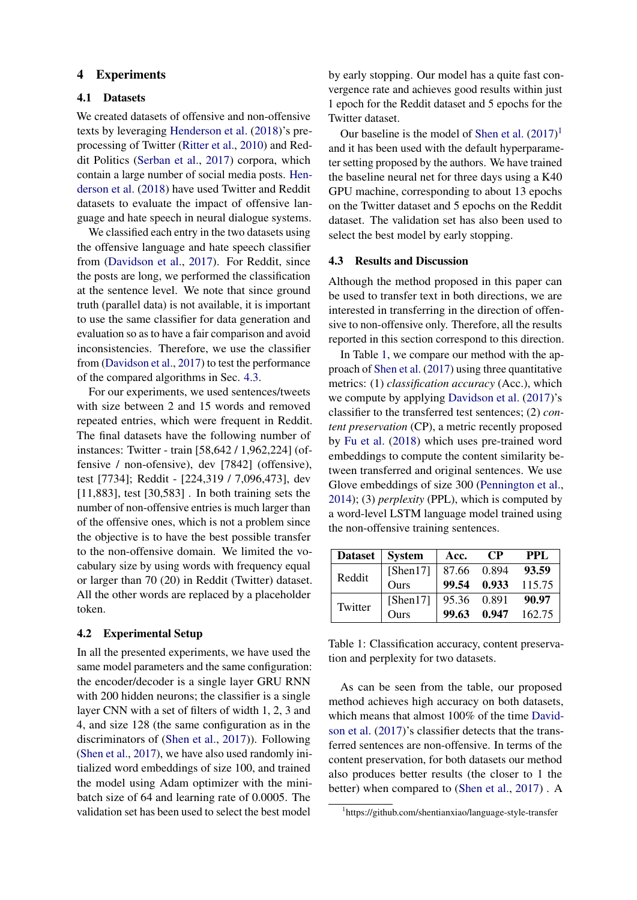#### 4 Experiments

# 4.1 Datasets

We created datasets of offensive and non-offensive texts by leveraging [Henderson et al.](#page-5-17) [\(2018\)](#page-5-17)'s preprocessing of Twitter [\(Ritter et al.,](#page-5-18) [2010\)](#page-5-18) and Reddit Politics [\(Serban et al.,](#page-5-19) [2017\)](#page-5-19) corpora, which contain a large number of social media posts. [Hen](#page-5-17)[derson et al.](#page-5-17) [\(2018\)](#page-5-17) have used Twitter and Reddit datasets to evaluate the impact of offensive language and hate speech in neural dialogue systems.

We classified each entry in the two datasets using the offensive language and hate speech classifier from [\(Davidson et al.,](#page-5-6) [2017\)](#page-5-6). For Reddit, since the posts are long, we performed the classification at the sentence level. We note that since ground truth (parallel data) is not available, it is important to use the same classifier for data generation and evaluation so as to have a fair comparison and avoid inconsistencies. Therefore, we use the classifier from [\(Davidson et al.,](#page-5-6) [2017\)](#page-5-6) to test the performance of the compared algorithms in Sec. [4.3.](#page-3-0)

For our experiments, we used sentences/tweets with size between 2 and 15 words and removed repeated entries, which were frequent in Reddit. The final datasets have the following number of instances: Twitter - train [58,642 / 1,962,224] (offensive / non-ofensive), dev [7842] (offensive), test [7734]; Reddit - [224,319 / 7,096,473], dev [11,883], test [30,583]. In both training sets the number of non-offensive entries is much larger than of the offensive ones, which is not a problem since the objective is to have the best possible transfer to the non-offensive domain. We limited the vocabulary size by using words with frequency equal or larger than 70 (20) in Reddit (Twitter) dataset. All the other words are replaced by a placeholder token.

## 4.2 Experimental Setup

In all the presented experiments, we have used the same model parameters and the same configuration: the encoder/decoder is a single layer GRU RNN with 200 hidden neurons; the classifier is a single layer CNN with a set of filters of width 1, 2, 3 and 4, and size 128 (the same configuration as in the discriminators of [\(Shen et al.,](#page-5-9) [2017\)](#page-5-9)). Following [\(Shen et al.,](#page-5-9) [2017\)](#page-5-9), we have also used randomly initialized word embeddings of size 100, and trained the model using Adam optimizer with the minibatch size of 64 and learning rate of 0.0005. The validation set has been used to select the best model

by early stopping. Our model has a quite fast convergence rate and achieves good results within just 1 epoch for the Reddit dataset and 5 epochs for the Twitter dataset.

Our baseline is the model of [Shen et al.](#page-5-9)  $(2017)^1$  $(2017)^1$  $(2017)^1$ and it has been used with the default hyperparameter setting proposed by the authors. We have trained the baseline neural net for three days using a K40 GPU machine, corresponding to about 13 epochs on the Twitter dataset and 5 epochs on the Reddit dataset. The validation set has also been used to select the best model by early stopping.

#### <span id="page-3-0"></span>4.3 Results and Discussion

Although the method proposed in this paper can be used to transfer text in both directions, we are interested in transferring in the direction of offensive to non-offensive only. Therefore, all the results reported in this section correspond to this direction.

In Table [1,](#page-3-2) we compare our method with the approach of [Shen et al.](#page-5-9) [\(2017\)](#page-5-9) using three quantitative metrics: (1) *classification accuracy* (Acc.), which we compute by applying [Davidson et al.](#page-5-6) [\(2017\)](#page-5-6)'s classifier to the transferred test sentences; (2) *content preservation* (CP), a metric recently proposed by [Fu et al.](#page-5-13) [\(2018\)](#page-5-13) which uses pre-trained word embeddings to compute the content similarity between transferred and original sentences. We use Glove embeddings of size 300 [\(Pennington et al.,](#page-5-20) [2014\)](#page-5-20); (3) *perplexity* (PPL), which is computed by a word-level LSTM language model trained using the non-offensive training sentences.

| Dataset   System |          | Acc.        | CP          | <b>PPL</b> |
|------------------|----------|-------------|-------------|------------|
| Reddit           | [Shen17] | 87.66 0.894 |             | 93.59      |
|                  | Ours     |             | 99.54 0.933 | 115.75     |
| Twitter          | [Shen17] | 95.36 0.891 |             | 90.97      |
|                  | Ours     | 99.63       | 0.947       | 162.75     |

<span id="page-3-2"></span>Table 1: Classification accuracy, content preservation and perplexity for two datasets.

As can be seen from the table, our proposed method achieves high accuracy on both datasets, which means that almost 100% of the time [David](#page-5-6)[son et al.](#page-5-6) [\(2017\)](#page-5-6)'s classifier detects that the transferred sentences are non-offensive. In terms of the content preservation, for both datasets our method also produces better results (the closer to 1 the better) when compared to [\(Shen et al.,](#page-5-9) [2017\)](#page-5-9) . A

<span id="page-3-1"></span><sup>1</sup> https://github.com/shentianxiao/language-style-transfer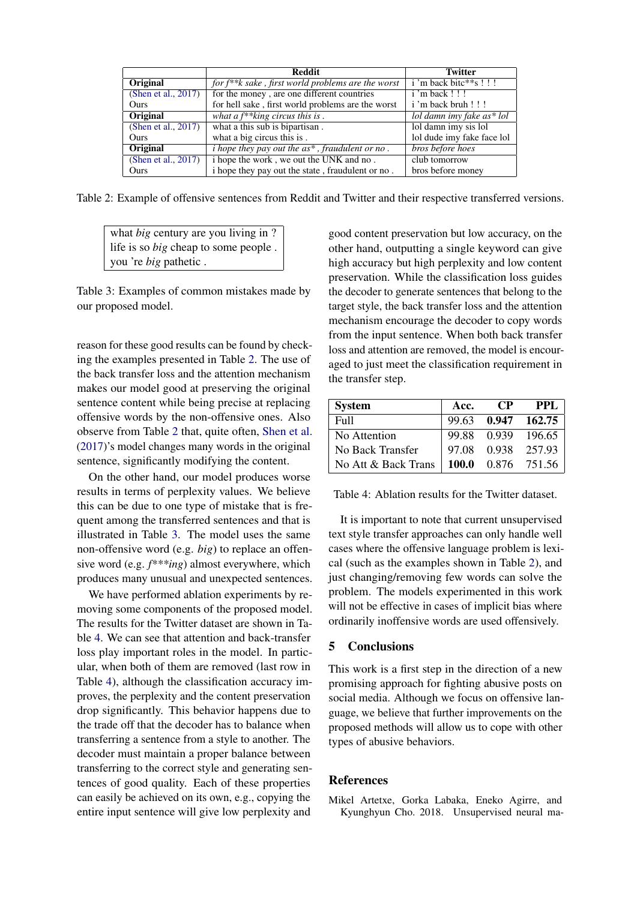|                        | <b>Reddit</b>                                             | <b>Twitter</b>              |  |
|------------------------|-----------------------------------------------------------|-----------------------------|--|
| <b>Original</b>        | for $f^{**}$ k sake, first world problems are the worst   | $i$ 'm back bitc**s !!!     |  |
| (Shen et al., $2017$ ) | for the money, are one different countries                | $i$ 'm back !!!             |  |
| <b>Ours</b>            | for hell sake, first world problems are the worst         | i'm back bruh!!!            |  |
| Original               | what a $f^{**}$ king circus this is.                      | lol damn imy fake $as*$ lol |  |
| (Shen et al., 2017)    | what a this sub is bipartisan.                            | lol damn imy sis lol        |  |
| <b>Ours</b>            | what a big circus this is.                                | lol dude imy fake face lol  |  |
| Original               | <i>i</i> hope they pay out the $as^*$ , fraudulent or no. | bros before hoes            |  |
| (Shen et al., $2017$ ) | i hope the work, we out the UNK and no.                   | club tomorrow               |  |
| Ours                   | i hope they pay out the state, fraudulent or no.          | bros before money           |  |

<span id="page-4-1"></span>Table 2: Example of offensive sentences from Reddit and Twitter and their respective transferred versions.

what *big* century are you living in ? life is so *big* cheap to some people . you 're *big* pathetic .

<span id="page-4-2"></span>Table 3: Examples of common mistakes made by our proposed model.

reason for these good results can be found by checking the examples presented in Table [2.](#page-4-1) The use of the back transfer loss and the attention mechanism makes our model good at preserving the original sentence content while being precise at replacing offensive words by the non-offensive ones. Also observe from Table [2](#page-4-1) that, quite often, [Shen et al.](#page-5-9) [\(2017\)](#page-5-9)'s model changes many words in the original sentence, significantly modifying the content.

On the other hand, our model produces worse results in terms of perplexity values. We believe this can be due to one type of mistake that is frequent among the transferred sentences and that is illustrated in Table [3.](#page-4-2) The model uses the same non-offensive word (e.g. *big*) to replace an offensive word (e.g. *f\*\*\*ing*) almost everywhere, which produces many unusual and unexpected sentences.

We have performed ablation experiments by removing some components of the proposed model. The results for the Twitter dataset are shown in Table [4.](#page-4-3) We can see that attention and back-transfer loss play important roles in the model. In particular, when both of them are removed (last row in Table [4\)](#page-4-3), although the classification accuracy improves, the perplexity and the content preservation drop significantly. This behavior happens due to the trade off that the decoder has to balance when transferring a sentence from a style to another. The decoder must maintain a proper balance between transferring to the correct style and generating sentences of good quality. Each of these properties can easily be achieved on its own, e.g., copying the entire input sentence will give low perplexity and

good content preservation but low accuracy, on the other hand, outputting a single keyword can give high accuracy but high perplexity and low content preservation. While the classification loss guides the decoder to generate sentences that belong to the target style, the back transfer loss and the attention mechanism encourage the decoder to copy words from the input sentence. When both back transfer loss and attention are removed, the model is encouraged to just meet the classification requirement in the transfer step.

| <b>System</b>                              | Acc. | - CP | PPL                |
|--------------------------------------------|------|------|--------------------|
| Full                                       |      |      | 99.63 0.947 162.75 |
| No Attention                               |      |      | 99.88 0.939 196.65 |
| No Back Transfer                           |      |      | 97.08 0.938 257.93 |
| No Att & Back Trans   $100.0$ 0.876 751.56 |      |      |                    |

<span id="page-4-3"></span>Table 4: Ablation results for the Twitter dataset.

It is important to note that current unsupervised text style transfer approaches can only handle well cases where the offensive language problem is lexical (such as the examples shown in Table [2\)](#page-4-1), and just changing/removing few words can solve the problem. The models experimented in this work will not be effective in cases of implicit bias where ordinarily inoffensive words are used offensively.

# 5 Conclusions

This work is a first step in the direction of a new promising approach for fighting abusive posts on social media. Although we focus on offensive language, we believe that further improvements on the proposed methods will allow us to cope with other types of abusive behaviors.

# References

<span id="page-4-0"></span>Mikel Artetxe, Gorka Labaka, Eneko Agirre, and Kyunghyun Cho. 2018. Unsupervised neural ma-